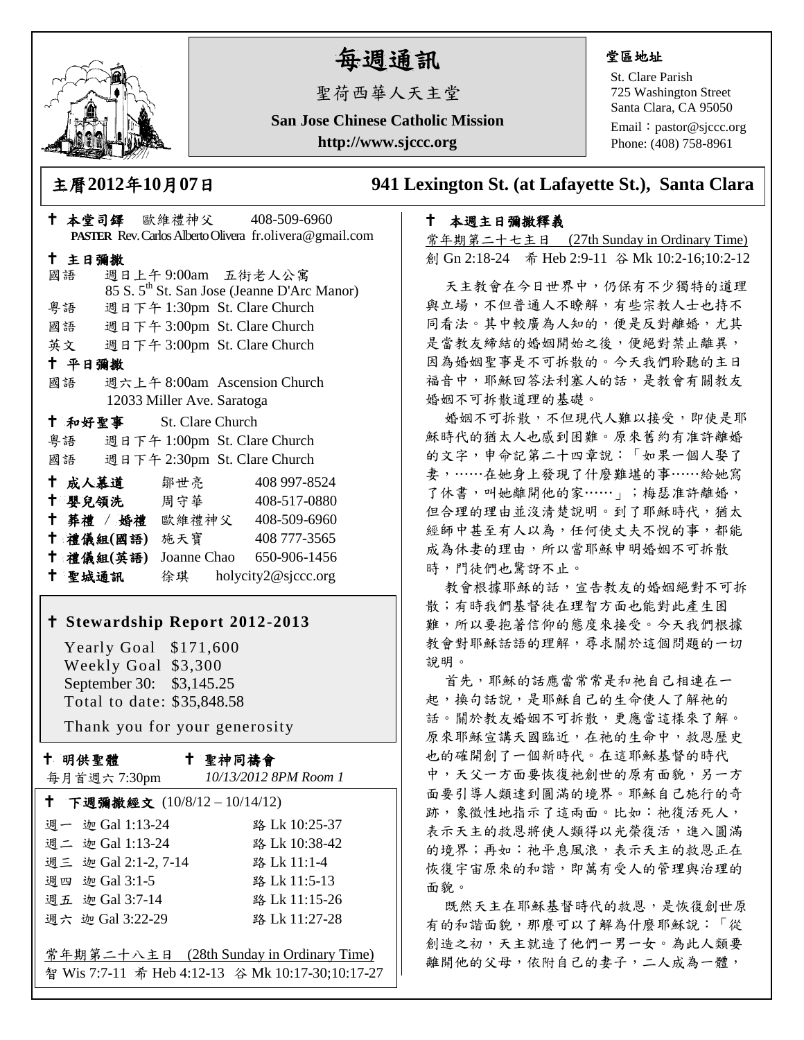

# 每週通訊

聖荷西華人天主堂

**San Jose Chinese Catholic Mission http://www.sjccc.org**

#### 堂區地址

St. Clare Parish 725 Washington Street Santa Clara, CA 95050

Email: [pastor@sjccc.org](mailto:pastor@sjccc.org) Phone: (408) 758-8961

主曆**2012**年**10**月**07**日 **941 Lexington St. (at Lafayette St.), Santa Clara** 

### 本週主日彌撒釋義

常年期第二十七主日 (27th Sunday in Ordinary Time) 創 Gn 2:18-24 希 Heb 2:9-11 谷 Mk 10:2-16;10:2-12

天主教會在今日世界中,仍保有不少獨特的道理 與立場,不但普通人不瞭解,有些宗教人士也持不 同看法。其中較廣為人知的,便是反對離婚,尤其 是當教友締結的婚姻開始之後,便絕對禁止離異, 因為婚姻聖事是不可拆散的。今天我們聆聽的主日 福音中,耶穌回答法利塞人的話,是教會有關教友 婚姻不可拆散道理的基礎。

婚姻不可拆散,不但現代人難以接受,即使是耶 穌時代的猶太人也感到困難。原來舊約有准許離婚 的文字,申命記第二十四章說:「如果一個人娶了 妻,……在她身上發現了什麼難堪的事……給她寫 了休書,叫她離開他的家……」;梅瑟准許離婚, 但合理的理由並沒清楚說明。到了耶穌時代,猶太 經師中甚至有人以為,任何使丈夫不悅的事,都能 成為休妻的理由,所以當耶穌申明婚姻不可拆散 時,門徒們也驚訝不止。

教會根據耶穌的話,宣告教友的婚姻絕對不可拆 散;有時我們基督徒在理智方面也能對此產生困 難,所以要抱著信仰的態度來接受。今天我們根據 教會對耶穌話語的理解,尋求關於這個問題的一切 說明。

首先,耶穌的話應當常常是和祂自己相連在一 起,換句話說,是耶穌自己的生命使人了解祂的 話。關於教友婚姻不可拆散,更應當這樣來了解。 原來耶穌宣講天國臨近,在祂的生命中,救恩歷史 也的確開創了一個新時代。在這耶穌基督的時代 中,天父一方面要恢復祂創世的原有面貌,另一方 面要引導人類達到圓滿的境界。耶穌自己施行的奇 跡,象徵性地指示了這兩面。比如:祂復活死人, 表示天主的救恩將使人類得以光榮復活,進入圓滿 的境界;再如:祂平息風浪,表示天主的救恩正在 恢復宇宙原來的和諧,即萬有受人的管理與治理的 面貌。

既然天主在耶穌基督時代的救恩,是恢復創世原 有的和諧面貌,那麼可以了解為什麼耶穌說:「從 創造之初,天主就造了他們一男一女。為此人類要 離開他的父母,依附自己的妻子,二人成為一體,

| <b>PASTER</b> Rev. Carlos Alberto Olivera fr. olivera@gmail.com |        |                         |                            |  |                                                         |  |  |
|-----------------------------------------------------------------|--------|-------------------------|----------------------------|--|---------------------------------------------------------|--|--|
| 十 主日彌撒                                                          |        |                         |                            |  |                                                         |  |  |
|                                                                 | 國語     |                         |                            |  | 週日上午9:00am 五街老人公寓                                       |  |  |
|                                                                 |        |                         |                            |  | 85 S. 5 <sup>th</sup> St. San Jose (Jeanne D'Arc Manor) |  |  |
|                                                                 |        |                         |                            |  | 粤語 週日下午 1:30pm St. Clare Church                         |  |  |
|                                                                 |        |                         |                            |  | 國語 週日下午 3:00pm St. Clare Church                         |  |  |
|                                                                 |        |                         |                            |  | 英文 週日下午 3:00pm St. Clare Church                         |  |  |
|                                                                 | 十 平日彌撒 |                         |                            |  |                                                         |  |  |
|                                                                 | 國語     |                         |                            |  | 週六上午 8:00am Ascension Church                            |  |  |
|                                                                 |        |                         | 12033 Miller Ave. Saratoga |  |                                                         |  |  |
|                                                                 |        | † 和好聖事 St. Clare Church |                            |  |                                                         |  |  |
|                                                                 |        |                         |                            |  | 粤語 週日下午 1:00pm St. Clare Church                         |  |  |
|                                                                 |        |                         |                            |  | 國語 週日下午 2:30pm St. Clare Church                         |  |  |
|                                                                 |        | † 成人慕道   鄒世亮            |                            |  | 408 997-8524                                            |  |  |
|                                                                 |        | ← 嬰兒領洗 周守華              |                            |  | 408-517-0880                                            |  |  |
|                                                                 |        |                         |                            |  | † 葬禮 / 婚禮 歐維禮神父 408-509-6960                            |  |  |
|                                                                 |        | 十 禮儀組(國語) 施天寶           |                            |  | 408 777-3565                                            |  |  |
|                                                                 |        | 十 禮儀組(英語)               |                            |  | Joanne Chao 650-906-1456                                |  |  |
|                                                                 | 十 聖城通訊 |                         |                            |  | 徐琪 holycity2@sjccc.org                                  |  |  |

本堂司鐸 歐維禮神父 408-509-6960

### **Stewardship Report 2012-2013**

 Yearly Goal \$171,600 Weekly Goal \$3,300 September 30: \$3,145.25 Total to date: \$35,848.58

Thank you for your generosity

| $\mathbf t$    | 明供聖體                   |  |  |
|----------------|------------------------|--|--|
| $\overline{ }$ | $\sim$ $\prime$ $\sim$ |  |  |

聖神同禱會

| 每月首週六 7:30pm                | 10/13/2012 8PM Room 1                             |  |  |  |  |
|-----------------------------|---------------------------------------------------|--|--|--|--|
| † 下週彌撒經文 (10/8/12-10/14/12) |                                                   |  |  |  |  |
| 週一 迦 Gal 1:13-24            | 路 Lk 10:25-37                                     |  |  |  |  |
| 週二 迦 Gal 1:13-24            | 路 Lk 10:38-42                                     |  |  |  |  |
| 週三 迦 Gal 2:1-2, 7-14        | 路 Lk 11:1-4                                       |  |  |  |  |
| 週四 迦 Gal 3:1-5              | 路 Lk 11:5-13                                      |  |  |  |  |
| 週五 迦 Gal 3:7-14             | 路 Lk 11:15-26                                     |  |  |  |  |
| 週六 迦 Gal 3:22-29            | 路 Lk 11:27-28                                     |  |  |  |  |
|                             |                                                   |  |  |  |  |
|                             | 常年期第二十八主日 (28th Sunday in Ordinary Time)          |  |  |  |  |
|                             | 智 Wis 7:7-11 希 Heb 4:12-13 谷 Mk 10:17-30;10:17-27 |  |  |  |  |